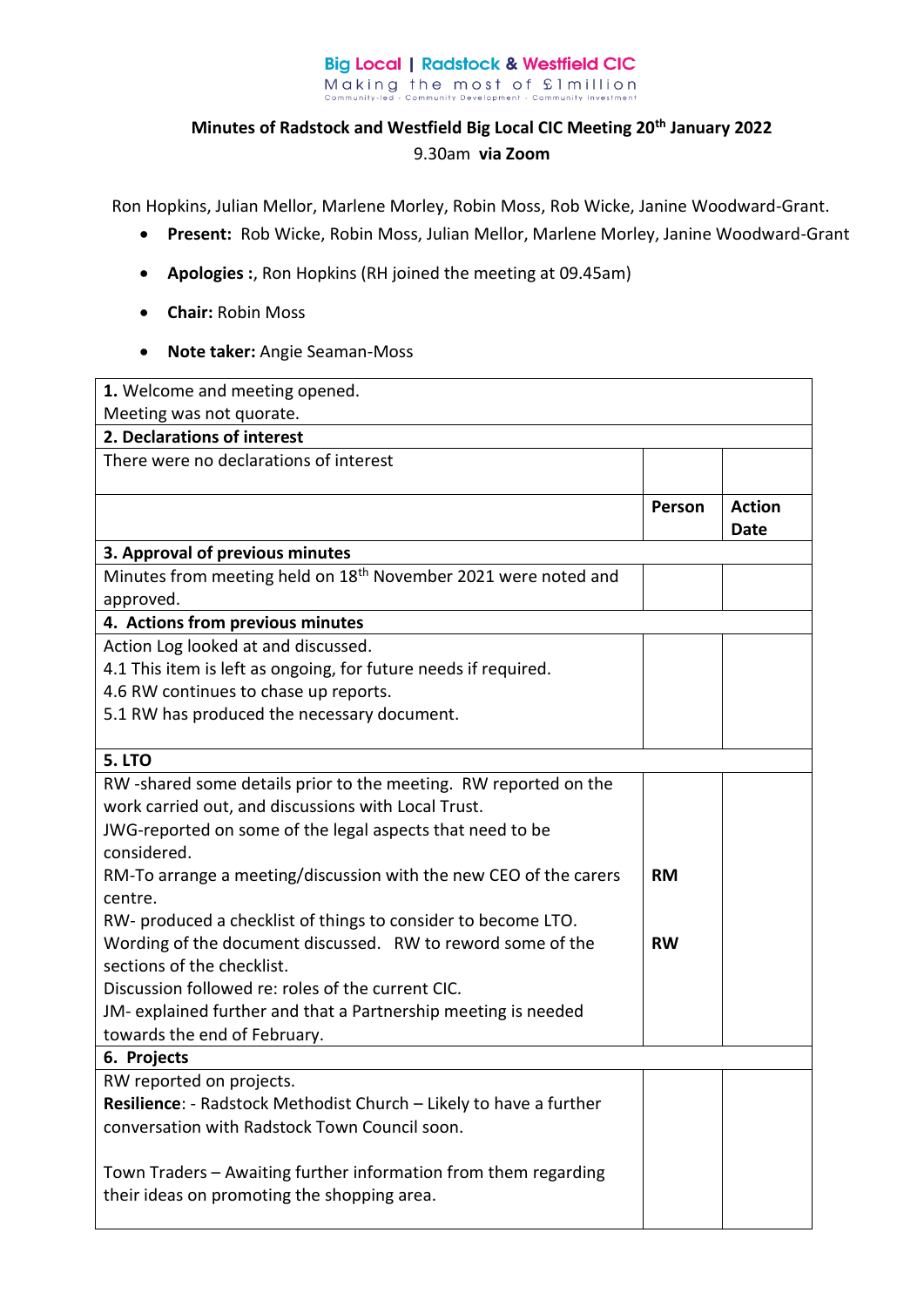## **Big Local | Radstock & Westfield CIC** Making the most of £1 million<br>community-led - Community Development - Community Investment

## **Minutes of Radstock and Westfield Big Local CIC Meeting 20th January 2022**  9.30am **via Zoom**

Ron Hopkins, Julian Mellor, Marlene Morley, Robin Moss, Rob Wicke, Janine Woodward-Grant.

- **Present:** Rob Wicke, Robin Moss, Julian Mellor, Marlene Morley, Janine Woodward-Grant
- **Apologies :**, Ron Hopkins (RH joined the meeting at 09.45am)
- **Chair:** Robin Moss
- **Note taker:** Angie Seaman-Moss

| 1. Welcome and meeting opened.                                             |           |               |  |  |
|----------------------------------------------------------------------------|-----------|---------------|--|--|
| Meeting was not quorate.                                                   |           |               |  |  |
| 2. Declarations of interest                                                |           |               |  |  |
| There were no declarations of interest                                     |           |               |  |  |
|                                                                            |           |               |  |  |
|                                                                            | Person    | <b>Action</b> |  |  |
|                                                                            |           | <b>Date</b>   |  |  |
| 3. Approval of previous minutes                                            |           |               |  |  |
| Minutes from meeting held on 18 <sup>th</sup> November 2021 were noted and |           |               |  |  |
| approved.                                                                  |           |               |  |  |
| 4. Actions from previous minutes                                           |           |               |  |  |
| Action Log looked at and discussed.                                        |           |               |  |  |
| 4.1 This item is left as ongoing, for future needs if required.            |           |               |  |  |
| 4.6 RW continues to chase up reports.                                      |           |               |  |  |
| 5.1 RW has produced the necessary document.                                |           |               |  |  |
|                                                                            |           |               |  |  |
| <b>5. LTO</b>                                                              |           |               |  |  |
| RW-shared some details prior to the meeting. RW reported on the            |           |               |  |  |
| work carried out, and discussions with Local Trust.                        |           |               |  |  |
| JWG-reported on some of the legal aspects that need to be                  |           |               |  |  |
| considered.                                                                |           |               |  |  |
| RM-To arrange a meeting/discussion with the new CEO of the carers          | <b>RM</b> |               |  |  |
| centre.                                                                    |           |               |  |  |
| RW- produced a checklist of things to consider to become LTO.              |           |               |  |  |
| Wording of the document discussed. RW to reword some of the                | <b>RW</b> |               |  |  |
| sections of the checklist.                                                 |           |               |  |  |
| Discussion followed re: roles of the current CIC.                          |           |               |  |  |
| JM- explained further and that a Partnership meeting is needed             |           |               |  |  |
| towards the end of February.                                               |           |               |  |  |
| 6. Projects                                                                |           |               |  |  |
| RW reported on projects.                                                   |           |               |  |  |
| Resilience: - Radstock Methodist Church - Likely to have a further         |           |               |  |  |
| conversation with Radstock Town Council soon.                              |           |               |  |  |
|                                                                            |           |               |  |  |
| Town Traders - Awaiting further information from them regarding            |           |               |  |  |
| their ideas on promoting the shopping area.                                |           |               |  |  |
|                                                                            |           |               |  |  |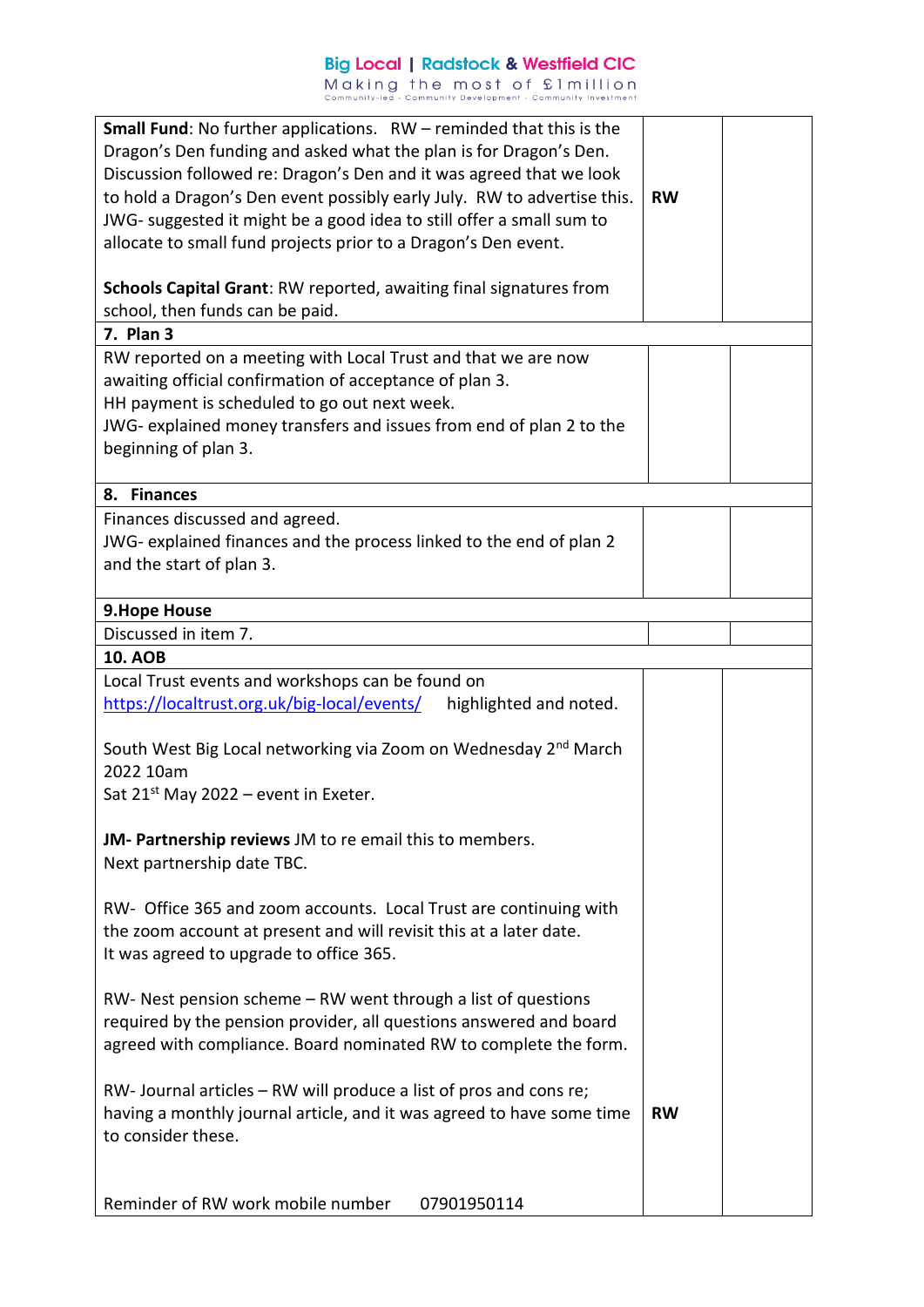## **Big Local | Radstock & Westfield CIC** Making the most of £1 million<br>community-led - Community Development - Community Investment

| <b>Small Fund:</b> No further applications. $RW$ – reminded that this is the |           |  |
|------------------------------------------------------------------------------|-----------|--|
| Dragon's Den funding and asked what the plan is for Dragon's Den.            |           |  |
| Discussion followed re: Dragon's Den and it was agreed that we look          |           |  |
| to hold a Dragon's Den event possibly early July. RW to advertise this.      | <b>RW</b> |  |
| JWG- suggested it might be a good idea to still offer a small sum to         |           |  |
|                                                                              |           |  |
| allocate to small fund projects prior to a Dragon's Den event.               |           |  |
| Schools Capital Grant: RW reported, awaiting final signatures from           |           |  |
|                                                                              |           |  |
| school, then funds can be paid.                                              |           |  |
| 7. Plan 3                                                                    |           |  |
| RW reported on a meeting with Local Trust and that we are now                |           |  |
| awaiting official confirmation of acceptance of plan 3.                      |           |  |
| HH payment is scheduled to go out next week.                                 |           |  |
| JWG- explained money transfers and issues from end of plan 2 to the          |           |  |
| beginning of plan 3.                                                         |           |  |
|                                                                              |           |  |
| 8. Finances                                                                  |           |  |
| Finances discussed and agreed.                                               |           |  |
| JWG- explained finances and the process linked to the end of plan 2          |           |  |
| and the start of plan 3.                                                     |           |  |
|                                                                              |           |  |
| 9. Hope House                                                                |           |  |
| Discussed in item 7.                                                         |           |  |
| <b>10. AOB</b>                                                               |           |  |
| Local Trust events and workshops can be found on                             |           |  |
| https://localtrust.org.uk/big-local/events/<br>highlighted and noted.        |           |  |
|                                                                              |           |  |
| South West Big Local networking via Zoom on Wednesday 2 <sup>nd</sup> March  |           |  |
| 2022 10am                                                                    |           |  |
|                                                                              |           |  |
| Sat $21^{st}$ May 2022 – event in Exeter.                                    |           |  |
|                                                                              |           |  |
| JM- Partnership reviews JM to re email this to members.                      |           |  |
| Next partnership date TBC.                                                   |           |  |
|                                                                              |           |  |
| RW- Office 365 and zoom accounts. Local Trust are continuing with            |           |  |
| the zoom account at present and will revisit this at a later date.           |           |  |
| It was agreed to upgrade to office 365.                                      |           |  |
|                                                                              |           |  |
| $RW$ - Nest pension scheme $-RW$ went through a list of questions            |           |  |
| required by the pension provider, all questions answered and board           |           |  |
| agreed with compliance. Board nominated RW to complete the form.             |           |  |
|                                                                              |           |  |
| RW- Journal articles – RW will produce a list of pros and cons re;           |           |  |
| having a monthly journal article, and it was agreed to have some time        | <b>RW</b> |  |
| to consider these.                                                           |           |  |
|                                                                              |           |  |
|                                                                              |           |  |
| Reminder of RW work mobile number<br>07901950114                             |           |  |